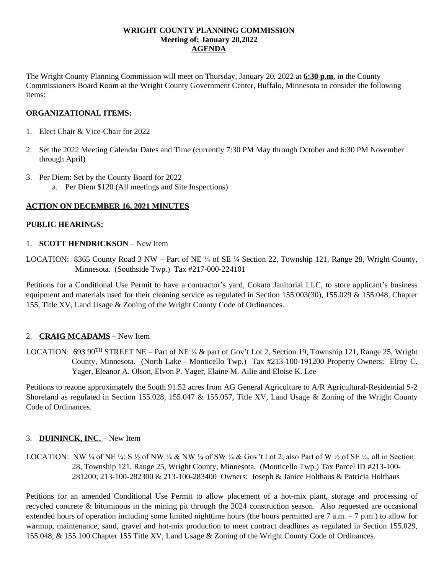## **WRIGHT COUNTY PLANNING COMMISSION Meeting of: January 20,2022 AGENDA**

The Wright County Planning Commission will meet on Thursday, January 20, 2022 at **6:30 p.m.** in the County Commissioners Board Room at the Wright County Government Center, Buffalo, Minnesota to consider the following items:

## **ORGANIZATIONAL ITEMS:**

- 1. Elect Chair & Vice-Chair for 2022
- 2. Set the 2022 Meeting Calendar Dates and Time (currently 7:30 PM May through October and 6:30 PM November through April)
- 3. Per Diem: Set by the County Board for 2022 a. Per Diem \$120 (All meetings and Site Inspections)

#### **ACTION ON DECEMBER 16, 2021 MINUTES**

#### **PUBLIC HEARINGS:**

#### 1. **SCOTT HENDRICKSON** – New Item

LOCATION: 8365 County Road 3 NW – Part of NE ¼ of SE ¼ Section 22, Township 121, Range 28, Wright County, Minnesota. (Southside Twp.) Tax #217-000-224101

Petitions for a Conditional Use Permit to have a contractor's yard, Cokato Janitorial LLC, to store applicant's business equipment and materials used for their cleaning service as regulated in Section 155.003(30), 155.029 & 155.048, Chapter 155, Title XV, Land Usage & Zoning of the Wright County Code of Ordinances.

#### 2. **CRAIG MCADAMS** – New Item

LOCATION: 693 90TH STREET NE – Part of NE ¼ & part of Gov't Lot 2, Section 19, Township 121, Range 25, Wright County, Minnesota. (North Lake - Monticello Twp.) Tax #213-100-191200 Property Owners: Elroy C. Yager, Eleanor A. Olson, Elvon P. Yager, Elaine M. Ailie and Eloise K. Lee

Petitions to rezone approximately the South 91.52 acres from AG General Agriculture to A/R Agricultural-Residential S-2 Shoreland as regulated in Section 155.028, 155.047 & 155.057, Title XV, Land Usage & Zoning of the Wright County Code of Ordinances.

# 3. **DUININCK, INC.** – New Item

LOCATION: NW ¼ of NE ¼; S ½ of NW ¼ & NW ¼ of SW ¼ & Gov't Lot 2; also Part of W ½ of SE ¼, all in Section 28, Township 121, Range 25, Wright County, Minnesota. (Monticello Twp.) Tax Parcel ID #213-100- 281200; 213-100-282300 & 213-100-283400 Owners: Joseph & Janice Holthaus & Patricia Holthaus

Petitions for an amended Conditional Use Permit to allow placement of a hot-mix plant, storage and processing of recycled concrete & bituminous in the mining pit through the 2024 construction season. Also requested are occasional extended hours of operation including some limited nighttime hours (the hours permitted are  $7 \text{ a.m.} - 7 \text{ p.m.}$ ) to allow for warmup, maintenance, sand, gravel and hot-mix production to meet contract deadlines as regulated in Section 155.029, 155.048, & 155.100 Chapter 155 Title XV, Land Usage & Zoning of the Wright County Code of Ordinances.